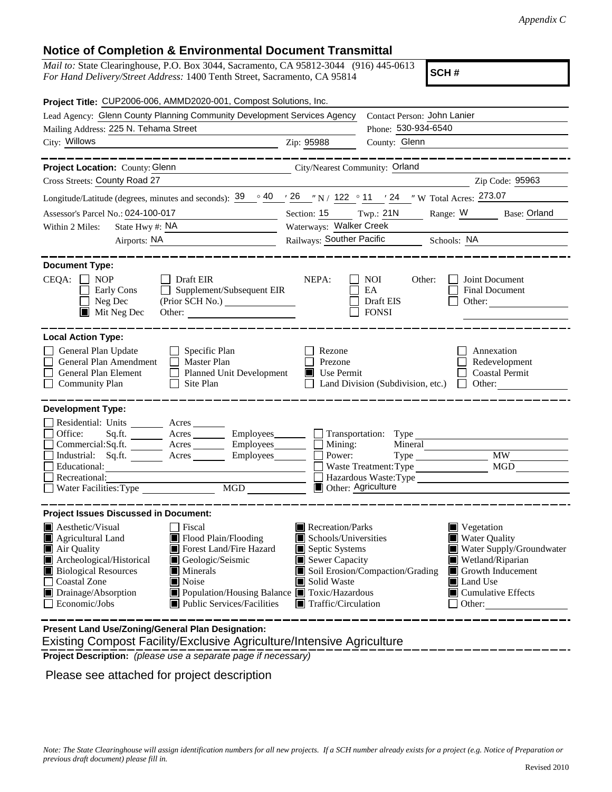## **Notice of Completion & Environmental Document Transmittal**

*Mail to:* State Clearinghouse, P.O. Box 3044, Sacramento, CA 95812-3044 (916) 445-0613 *For Hand Delivery/Street Address:* 1400 Tenth Street, Sacramento, CA 95814

**SCH #**

| Project Title: CUP2006-006, AMMD2020-001, Compost Solutions, Inc.                                                                                                                                                                                                                                                                                                                            |                                                |                                                                                                                                                                                                                                                                                                                        |  |  |  |  |
|----------------------------------------------------------------------------------------------------------------------------------------------------------------------------------------------------------------------------------------------------------------------------------------------------------------------------------------------------------------------------------------------|------------------------------------------------|------------------------------------------------------------------------------------------------------------------------------------------------------------------------------------------------------------------------------------------------------------------------------------------------------------------------|--|--|--|--|
| Lead Agency: Glenn County Planning Community Development Services Agency                                                                                                                                                                                                                                                                                                                     | Contact Person: John Lanier                    |                                                                                                                                                                                                                                                                                                                        |  |  |  |  |
| Mailing Address: 225 N. Tehama Street                                                                                                                                                                                                                                                                                                                                                        |                                                | Phone: 530-934-6540                                                                                                                                                                                                                                                                                                    |  |  |  |  |
| City: Willows                                                                                                                                                                                                                                                                                                                                                                                | Zip: 95988                                     | County: Glenn                                                                                                                                                                                                                                                                                                          |  |  |  |  |
| Project Location: County: Glenn<br>City/Nearest Community: Orland                                                                                                                                                                                                                                                                                                                            |                                                |                                                                                                                                                                                                                                                                                                                        |  |  |  |  |
| Cross Streets: County Road 27                                                                                                                                                                                                                                                                                                                                                                |                                                | Zip Code: 95963                                                                                                                                                                                                                                                                                                        |  |  |  |  |
| Longitude/Latitude (degrees, minutes and seconds): $\frac{39}{9}$ $\frac{40}{7}$ $\frac{26}{7}$ N / 122 $\degree$ 11 $\degree$ 24 $\degree$ W Total Acres: 273.07                                                                                                                                                                                                                            |                                                |                                                                                                                                                                                                                                                                                                                        |  |  |  |  |
| Assessor's Parcel No.: 024-100-017<br><u> 1990 - John Barn Barn, amerikansk politiker</u>                                                                                                                                                                                                                                                                                                    | Section: 15 Twp.: 21N                          | Range: W<br><b>Base: Orland</b>                                                                                                                                                                                                                                                                                        |  |  |  |  |
| State Hwy #: NA<br>Within 2 Miles:                                                                                                                                                                                                                                                                                                                                                           | Waterways: Walker Creek                        |                                                                                                                                                                                                                                                                                                                        |  |  |  |  |
| Airports: NA<br><u> 1980 - Andrea Station Books, amerikansk politik (d. 1980)</u>                                                                                                                                                                                                                                                                                                            | Railways: Souther Pacific Schools: NA          |                                                                                                                                                                                                                                                                                                                        |  |  |  |  |
| <b>Document Type:</b>                                                                                                                                                                                                                                                                                                                                                                        |                                                |                                                                                                                                                                                                                                                                                                                        |  |  |  |  |
| $CEQA: \Box NP$<br>Draft EIR<br>Supplement/Subsequent EIR<br>Early Cons<br>Neg Dec<br>$\blacksquare$ Mit Neg Dec<br>Other:                                                                                                                                                                                                                                                                   | NEPA:                                          | <b>NOI</b><br>Joint Document<br>Other:<br>EA<br>Final Document<br>Draft EIS<br>Other:<br><b>FONSI</b>                                                                                                                                                                                                                  |  |  |  |  |
| <b>Local Action Type:</b>                                                                                                                                                                                                                                                                                                                                                                    |                                                |                                                                                                                                                                                                                                                                                                                        |  |  |  |  |
| General Plan Update<br>Specific Plan<br>General Plan Amendment<br>$\Box$ Master Plan<br>General Plan Element<br>Planned Unit Development<br><b>Community Plan</b><br>Site Plan<br>$\Box$                                                                                                                                                                                                     | Rezone<br>Prezone<br>$\blacksquare$ Use Permit | Annexation<br>Redevelopment<br><b>Coastal Permit</b><br>$\Box$ Other:<br>Land Division (Subdivision, etc.)                                                                                                                                                                                                             |  |  |  |  |
| <b>Development Type:</b><br>Residential: Units ________ Acres ______<br>Office:<br>Commercial:Sq.ft. _________ Acres _______<br>Employees______<br>Industrial: Sq.ft. Acres<br>Employees________<br>Educational:<br>Recreational:<br>MGD<br>Water Facilities: Type                                                                                                                           | Mining:<br>Power:<br><b>Other: Agriculture</b> | $\Box$ Transportation: Type<br>Mineral<br><b>MW</b><br>Type<br>Waste Treatment: Type<br>MGD<br>Hazardous Waste:Type                                                                                                                                                                                                    |  |  |  |  |
| <b>Project Issues Discussed in Document:</b>                                                                                                                                                                                                                                                                                                                                                 |                                                |                                                                                                                                                                                                                                                                                                                        |  |  |  |  |
| Aesthetic/Visual<br><b>Fiscal</b><br>Flood Plain/Flooding<br>Agricultural Land<br>Forest Land/Fire Hazard<br>Air Quality<br>Archeological/Historical<br>Geologic/Seismic<br><b>Biological Resources</b><br>$\blacksquare$ Minerals<br>Coastal Zone<br>Noise<br>l 1<br>Drainage/Absorption<br>■ Population/Housing Balance ■ Toxic/Hazardous<br>Economic/Jobs<br>■ Public Services/Facilities | Solid Waste                                    | Recreation/Parks<br>$\blacksquare$ Vegetation<br>Water Quality<br>Schools/Universities<br>Septic Systems<br>Water Supply/Groundwater<br>Sewer Capacity<br>Wetland/Riparian<br>Soil Erosion/Compaction/Grading<br>Growth Inducement<br>Land Use<br>■ Cumulative Effects<br>$\blacksquare$ Traffic/Circulation<br>Other: |  |  |  |  |

 Existing Compost Facility/Exclusive Agriculture/Intensive Agriculture **Present Land Use/Zoning/General Plan Designation:**

**Project Description:** *(please use a separate page if necessary)*

Please see attached for project description